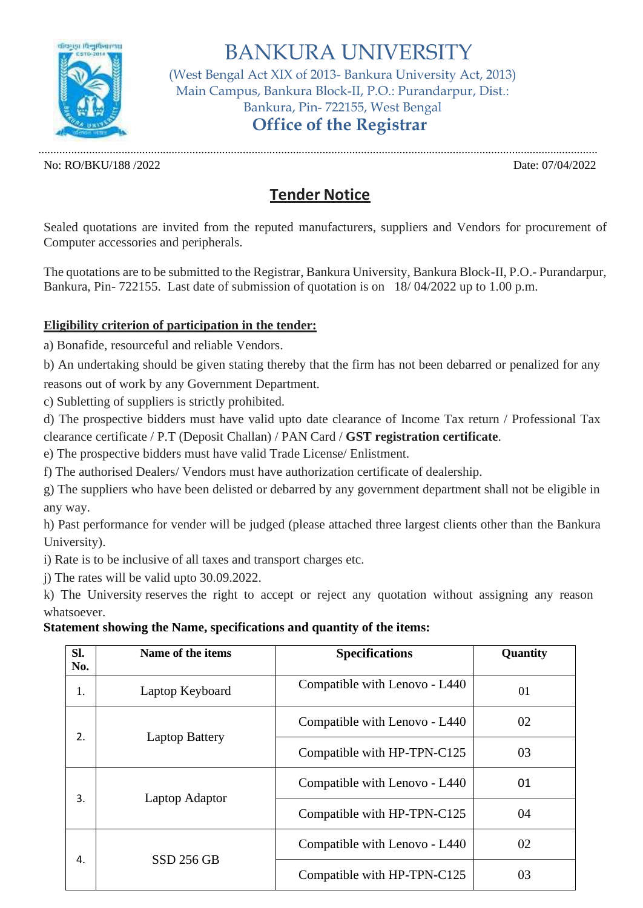

BANKURA UNIVERSITY (West Bengal Act XIX of 2013- Bankura University Act, 2013) Main Campus, Bankura Block-II, P.O.: Purandarpur, Dist.: Bankura, Pin- 722155, West Bengal **Office of the Registrar**

No: RO/BKU/188 /2022 Date: 07/04/2022

.............................................................................................................................................................................................

## **Tender Notice**

Sealed quotations are invited from the reputed manufacturers, suppliers and Vendors for procurement of Computer accessories and peripherals.

The quotations are to be submitted to the Registrar, Bankura University, Bankura Block-II, P.O.- Purandarpur, Bankura, Pin- 722155. Last date of submission of quotation is on 18/ 04/2022 up to 1.00 p.m.

## **Eligibility criterion of participation in the tender:**

a) Bonafide, resourceful and reliable Vendors.

b) An undertaking should be given stating thereby that the firm has not been debarred or penalized for any reasons out of work by any Government Department.

c) Subletting of suppliers is strictly prohibited.

d) The prospective bidders must have valid upto date clearance of Income Tax return / Professional Tax clearance certificate / P.T (Deposit Challan) / PAN Card / **GST registration certificate**.

e) The prospective bidders must have valid Trade License/ Enlistment.

f) The authorised Dealers/ Vendors must have authorization certificate of dealership.

g) The suppliers who have been delisted or debarred by any government department shall not be eligible in any way.

h) Past performance for vender will be judged (please attached three largest clients other than the Bankura University).

i) Rate is to be inclusive of all taxes and transport charges etc.

j) The rates will be valid upto 30.09.2022.

k) The University reserves the right to accept or reject any quotation without assigning any reason whatsoever.

## **Statement showing the Name, specifications and quantity of the items:**

| SI.<br>No. | Name of the items     | <b>Specifications</b>         | Quantity |
|------------|-----------------------|-------------------------------|----------|
| 1.         | Laptop Keyboard       | Compatible with Lenovo - L440 | 01       |
| 2.         | <b>Laptop Battery</b> | Compatible with Lenovo - L440 | 02       |
|            |                       | Compatible with HP-TPN-C125   | 03       |
| 3.         | Laptop Adaptor        | Compatible with Lenovo - L440 | 01       |
|            |                       | Compatible with HP-TPN-C125   | 04       |
| 4.         | <b>SSD 256 GB</b>     | Compatible with Lenovo - L440 | 02       |
|            |                       | Compatible with HP-TPN-C125   | 03       |